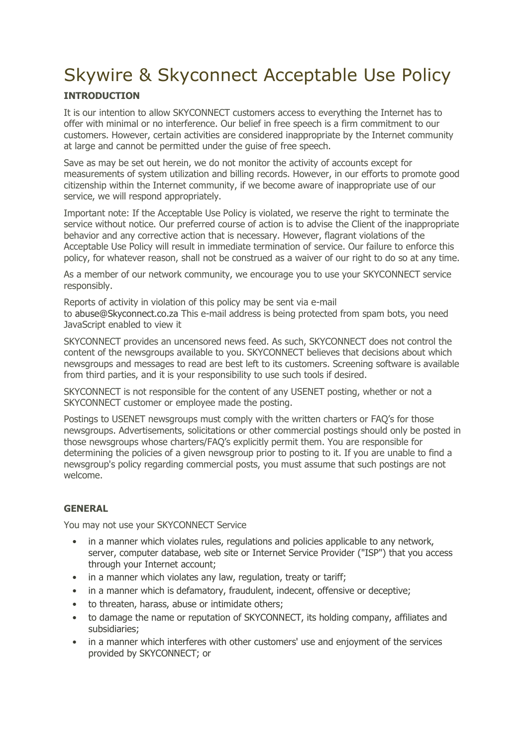# Skywire & Skyconnect Acceptable Use Policy

# **INTRODUCTION**

It is our intention to allow SKYCONNECT customers access to everything the Internet has to offer with minimal or no interference. Our belief in free speech is a firm commitment to our customers. However, certain activities are considered inappropriate by the Internet community at large and cannot be permitted under the guise of free speech.

Save as may be set out herein, we do not monitor the activity of accounts except for measurements of system utilization and billing records. However, in our efforts to promote good citizenship within the Internet community, if we become aware of inappropriate use of our service, we will respond appropriately.

Important note: If the Acceptable Use Policy is violated, we reserve the right to terminate the service without notice. Our preferred course of action is to advise the Client of the inappropriate behavior and any corrective action that is necessary. However, flagrant violations of the Acceptable Use Policy will result in immediate termination of service. Our failure to enforce this policy, for whatever reason, shall not be construed as a waiver of our right to do so at any time.

As a member of our network community, we encourage you to use your SKYCONNECT service responsibly.

Reports of activity in violation of this policy may be sent via e-mail to [abuse@Skyconnect.co.za](mailto:abuse@Skyconnect.co.za) This e-mail address is being protected from spam bots, you need JavaScript enabled to view it

SKYCONNECT provides an uncensored news feed. As such, SKYCONNECT does not control the content of the newsgroups available to you. SKYCONNECT believes that decisions about which newsgroups and messages to read are best left to its customers. Screening software is available from third parties, and it is your responsibility to use such tools if desired.

SKYCONNECT is not responsible for the content of any USENET posting, whether or not a SKYCONNECT customer or employee made the posting.

Postings to USENET newsgroups must comply with the written charters or FAQ's for those newsgroups. Advertisements, solicitations or other commercial postings should only be posted in those newsgroups whose charters/FAQ's explicitly permit them. You are responsible for determining the policies of a given newsgroup prior to posting to it. If you are unable to find a newsgroup's policy regarding commercial posts, you must assume that such postings are not welcome.

## **GENERAL**

You may not use your SKYCONNECT Service

- in a manner which violates rules, regulations and policies applicable to any network, server, computer database, web site or Internet Service Provider ("ISP") that you access through your Internet account;
- in a manner which violates any law, regulation, treaty or tariff;
- in a manner which is defamatory, fraudulent, indecent, offensive or deceptive;
- to threaten, harass, abuse or intimidate others;
- to damage the name or reputation of SKYCONNECT, its holding company, affiliates and subsidiaries;
- in a manner which interferes with other customers' use and enjoyment of the services provided by SKYCONNECT; or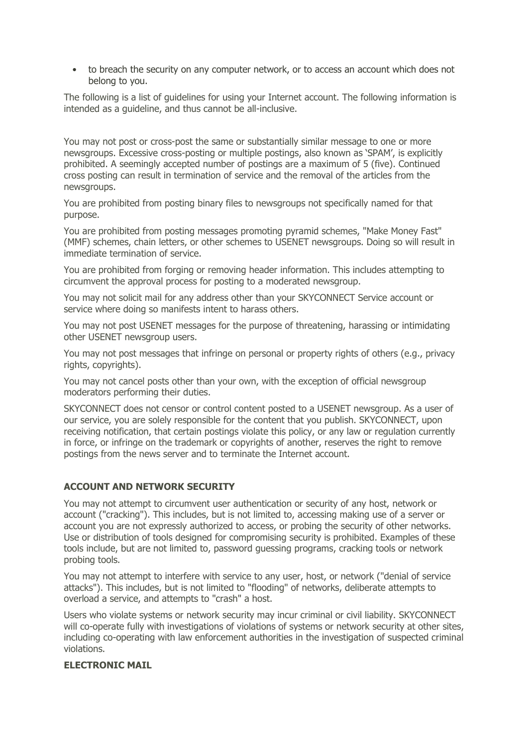• to breach the security on any computer network, or to access an account which does not belong to you.

The following is a list of guidelines for using your Internet account. The following information is intended as a guideline, and thus cannot be all-inclusive.

You may not post or cross-post the same or substantially similar message to one or more newsgroups. Excessive cross-posting or multiple postings, also known as 'SPAM', is explicitly prohibited. A seemingly accepted number of postings are a maximum of 5 (five). Continued cross posting can result in termination of service and the removal of the articles from the newsgroups.

You are prohibited from posting binary files to newsgroups not specifically named for that purpose.

You are prohibited from posting messages promoting pyramid schemes, "Make Money Fast" (MMF) schemes, chain letters, or other schemes to USENET newsgroups. Doing so will result in immediate termination of service.

You are prohibited from forging or removing header information. This includes attempting to circumvent the approval process for posting to a moderated newsgroup.

You may not solicit mail for any address other than your SKYCONNECT Service account or service where doing so manifests intent to harass others.

You may not post USENET messages for the purpose of threatening, harassing or intimidating other USENET newsgroup users.

You may not post messages that infringe on personal or property rights of others (e.g., privacy rights, copyrights).

You may not cancel posts other than your own, with the exception of official newsgroup moderators performing their duties.

SKYCONNECT does not censor or control content posted to a USENET newsgroup. As a user of our service, you are solely responsible for the content that you publish. SKYCONNECT, upon receiving notification, that certain postings violate this policy, or any law or regulation currently in force, or infringe on the trademark or copyrights of another, reserves the right to remove postings from the news server and to terminate the Internet account.

### **ACCOUNT AND NETWORK SECURITY**

You may not attempt to circumvent user authentication or security of any host, network or account ("cracking"). This includes, but is not limited to, accessing making use of a server or account you are not expressly authorized to access, or probing the security of other networks. Use or distribution of tools designed for compromising security is prohibited. Examples of these tools include, but are not limited to, password guessing programs, cracking tools or network probing tools.

You may not attempt to interfere with service to any user, host, or network ("denial of service attacks"). This includes, but is not limited to "flooding" of networks, deliberate attempts to overload a service, and attempts to "crash" a host.

Users who violate systems or network security may incur criminal or civil liability. SKYCONNECT will co-operate fully with investigations of violations of systems or network security at other sites, including co-operating with law enforcement authorities in the investigation of suspected criminal violations.

### **ELECTRONIC MAIL**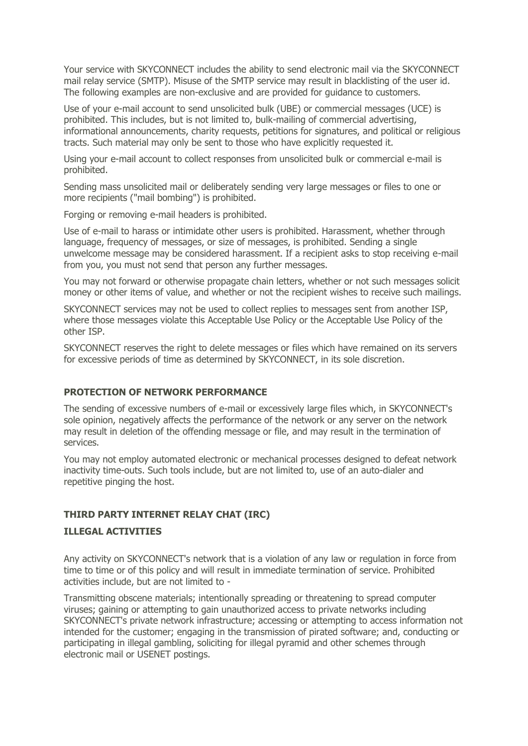Your service with SKYCONNECT includes the ability to send electronic mail via the SKYCONNECT mail relay service (SMTP). Misuse of the SMTP service may result in blacklisting of the user id. The following examples are non-exclusive and are provided for guidance to customers.

Use of your e-mail account to send unsolicited bulk (UBE) or commercial messages (UCE) is prohibited. This includes, but is not limited to, bulk-mailing of commercial advertising, informational announcements, charity requests, petitions for signatures, and political or religious tracts. Such material may only be sent to those who have explicitly requested it.

Using your e-mail account to collect responses from unsolicited bulk or commercial e-mail is prohibited.

Sending mass unsolicited mail or deliberately sending very large messages or files to one or more recipients ("mail bombing") is prohibited.

Forging or removing e-mail headers is prohibited.

Use of e-mail to harass or intimidate other users is prohibited. Harassment, whether through language, frequency of messages, or size of messages, is prohibited. Sending a single unwelcome message may be considered harassment. If a recipient asks to stop receiving e-mail from you, you must not send that person any further messages.

You may not forward or otherwise propagate chain letters, whether or not such messages solicit money or other items of value, and whether or not the recipient wishes to receive such mailings.

SKYCONNECT services may not be used to collect replies to messages sent from another ISP, where those messages violate this Acceptable Use Policy or the Acceptable Use Policy of the other ISP.

SKYCONNECT reserves the right to delete messages or files which have remained on its servers for excessive periods of time as determined by SKYCONNECT, in its sole discretion.

#### **PROTECTION OF NETWORK PERFORMANCE**

The sending of excessive numbers of e-mail or excessively large files which, in SKYCONNECT's sole opinion, negatively affects the performance of the network or any server on the network may result in deletion of the offending message or file, and may result in the termination of services.

You may not employ automated electronic or mechanical processes designed to defeat network inactivity time-outs. Such tools include, but are not limited to, use of an auto-dialer and repetitive pinging the host.

### **THIRD PARTY INTERNET RELAY CHAT (IRC)**

#### **ILLEGAL ACTIVITIES**

Any activity on SKYCONNECT's network that is a violation of any law or regulation in force from time to time or of this policy and will result in immediate termination of service. Prohibited activities include, but are not limited to -

Transmitting obscene materials; intentionally spreading or threatening to spread computer viruses; gaining or attempting to gain unauthorized access to private networks including SKYCONNECT's private network infrastructure; accessing or attempting to access information not intended for the customer; engaging in the transmission of pirated software; and, conducting or participating in illegal gambling, soliciting for illegal pyramid and other schemes through electronic mail or USENET postings.